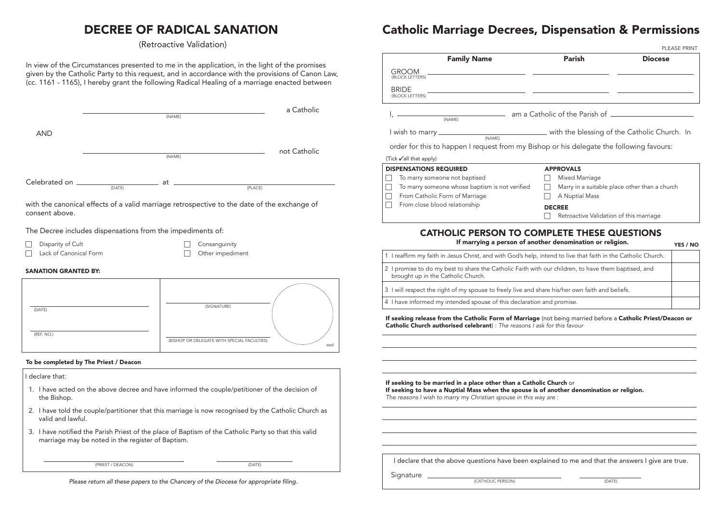#### I declare that:

- 1. I have acted on the above decree and have informed the couple/petitioner of the decision of the Bishop.
- 2. I have told the couple/partitioner that this marriage is now recognised by the Catholic Church as valid and lawful.

3. I have notified the Parish Priest of the place of Baptism of the Catholic Party so that this valid marriage may be noted in the register of Baptism.

# DECREE OF RADICAL SANATION

(Retroactive Validation)

In view of the Circumstances presented to me in the application, in the light of the promises given by the Catholic Party to this request, and in accordance with the provisions of Canon Law, (cc. 1161 - 1165), I hereby grant the following Radical Healing of a marriage enacted between

|                                             |                                                                                                                                                                               | (NAME) |                                   | a Catholic   |
|---------------------------------------------|-------------------------------------------------------------------------------------------------------------------------------------------------------------------------------|--------|-----------------------------------|--------------|
| <b>AND</b>                                  |                                                                                                                                                                               | (NAME) |                                   | not Catholic |
|                                             | $\begin{tabular}{c} \multicolumn{2}{c}{\textbf{Celebrated on}\hspace{0.07cm}\hspace{0.07cm}\textbf{\underline{}}\qquad \qquad \textbf{\underline{}}}}\\ \hline \end{tabular}$ | at     | (PLACE)                           |              |
| consent above.                              | with the canonical effects of a valid marriage retrospective to the date of the exchange of                                                                                   |        |                                   |              |
|                                             | The Decree includes dispensations from the impediments of:                                                                                                                    |        |                                   |              |
| Disparity of Cult<br>Lack of Canonical Form |                                                                                                                                                                               |        | Consanguinity<br>Other impediment |              |
| <b>SANATION GRANTED BY:</b>                 |                                                                                                                                                                               |        |                                   |              |
| (DATE)                                      |                                                                                                                                                                               |        | (SIGNATURE)                       |              |
| (REF. NO.)                                  |                                                                                                                                                                               |        |                                   |              |

#### To be completed by The Priest / Deacon

(PRIEST / DEACON) (DATE)

seal

*Please return all these papers to the Chancery of the Diocese for appropriate filing.* 

(BISHOP OR DELEGATE WITH SPECIAL FACULTIES)

## Catholic Marriage Decrees, Dispensation & Permissions

|                                                                                                                                                                                                                                       | <b>Parish</b>                           | <b>Diocese</b>                                                                                                |
|---------------------------------------------------------------------------------------------------------------------------------------------------------------------------------------------------------------------------------------|-----------------------------------------|---------------------------------------------------------------------------------------------------------------|
| <b>Family Name</b>                                                                                                                                                                                                                    |                                         |                                                                                                               |
| <b>GROOM</b><br>(BLOCK LETTERS)                                                                                                                                                                                                       |                                         |                                                                                                               |
| <b>BRIDE</b>                                                                                                                                                                                                                          |                                         |                                                                                                               |
| (BLOCK LETTERS)                                                                                                                                                                                                                       |                                         |                                                                                                               |
| (NAME)                                                                                                                                                                                                                                |                                         |                                                                                                               |
|                                                                                                                                                                                                                                       |                                         |                                                                                                               |
| order for this to happen I request from my Bishop or his delegate the following favours:                                                                                                                                              |                                         |                                                                                                               |
| (Tick √all that apply)                                                                                                                                                                                                                |                                         |                                                                                                               |
| <b>DISPENSATIONS REQUIRED</b><br>To marry someone not baptised                                                                                                                                                                        | <b>APPROVALS</b><br>Mixed Marriage      |                                                                                                               |
| To marry someone whose baptism is not verified                                                                                                                                                                                        |                                         | Marry in a suitable place other than a church                                                                 |
| From Catholic Form of Marriage                                                                                                                                                                                                        | A Nuptial Mass                          |                                                                                                               |
| From close blood relationship                                                                                                                                                                                                         | <b>DECREE</b>                           |                                                                                                               |
|                                                                                                                                                                                                                                       | Retroactive Validation of this marriage |                                                                                                               |
|                                                                                                                                                                                                                                       |                                         | 1 I reaffirm my faith in Jesus Christ, and with God's help, intend to live that faith in the Catholic Church. |
| 2 I promise to do my best to share the Catholic Faith with our children, to have them baptised, and                                                                                                                                   |                                         |                                                                                                               |
| brought up in the Catholic Church.                                                                                                                                                                                                    |                                         |                                                                                                               |
|                                                                                                                                                                                                                                       |                                         |                                                                                                               |
| 3 I will respect the right of my spouse to freely live and share his/her own faith and beliefs.<br>4 I have informed my intended spouse of this declaration and promise.                                                              |                                         |                                                                                                               |
| If seeking release from the Catholic Form of Marriage (not being married before a Catholic Priest/Deacon or<br>Catholic Church authorised celebrant) : The reasons I ask for this favour                                              |                                         |                                                                                                               |
| If seeking to be married in a place other than a Catholic Church or<br>If seeking to have a Nuptial Mass when the spouse is of another denomination or religion.<br>The reasons I wish to marry my Christian spouse in this way are : |                                         |                                                                                                               |
| I declare that the above questions have been explained to me and that the answers I give are true.                                                                                                                                    |                                         |                                                                                                               |

|                                                                                                                                                                                                                                |                                                                      |                                               | PLEASE PRINT    |
|--------------------------------------------------------------------------------------------------------------------------------------------------------------------------------------------------------------------------------|----------------------------------------------------------------------|-----------------------------------------------|-----------------|
| <b>Family Name</b>                                                                                                                                                                                                             | <b>Parish</b>                                                        | <b>Diocese</b>                                |                 |
| <b>GROOM</b>                                                                                                                                                                                                                   |                                                                      |                                               |                 |
| (BLOCK LETTERS)                                                                                                                                                                                                                |                                                                      |                                               |                 |
| <b>BRIDE</b><br>(BLOCK LETTERS)                                                                                                                                                                                                |                                                                      |                                               |                 |
|                                                                                                                                                                                                                                |                                                                      |                                               |                 |
| (NAME)                                                                                                                                                                                                                         | am a Catholic of the Parish of <b>containing the State Catalogue</b> |                                               |                 |
|                                                                                                                                                                                                                                |                                                                      |                                               |                 |
|                                                                                                                                                                                                                                |                                                                      |                                               |                 |
| order for this to happen I request from my Bishop or his delegate the following favours:                                                                                                                                       |                                                                      |                                               |                 |
| ick √all that apply)                                                                                                                                                                                                           |                                                                      |                                               |                 |
| <b>ISPENSATIONS REQUIRED</b><br>To marry someone not baptised                                                                                                                                                                  | <b>APPROVALS</b><br>Mixed Marriage                                   |                                               |                 |
| To marry someone whose baptism is not verified                                                                                                                                                                                 |                                                                      | Marry in a suitable place other than a church |                 |
| From Catholic Form of Marriage                                                                                                                                                                                                 | A Nuptial Mass                                                       |                                               |                 |
| From close blood relationship                                                                                                                                                                                                  | <b>DECREE</b>                                                        |                                               |                 |
|                                                                                                                                                                                                                                | Retroactive Validation of this marriage                              |                                               |                 |
| <b>CATHOLIC PERSON TO COMPLETE THESE QUESTIONS</b><br>I reaffirm my faith in Jesus Christ, and with God's help, intend to live that faith in the Catholic Church.                                                              | If marrying a person of another denomination or religion.            |                                               | <b>YES / NO</b> |
|                                                                                                                                                                                                                                |                                                                      |                                               |                 |
| I promise to do my best to share the Catholic Faith with our children, to have them baptised, and<br>brought up in the Catholic Church.                                                                                        |                                                                      |                                               |                 |
| I will respect the right of my spouse to freely live and share his/her own faith and beliefs.                                                                                                                                  |                                                                      |                                               |                 |
| I have informed my intended spouse of this declaration and promise.                                                                                                                                                            |                                                                      |                                               |                 |
| seeking release from the Catholic Form of Marriage (not being married before a Catholic Priest/Deacon or<br>atholic Church authorised celebrant) : The reasons I ask for this favour                                           |                                                                      |                                               |                 |
| seeking to be married in a place other than a Catholic Church or<br>seeking to have a Nuptial Mass when the spouse is of another denomination or religion.<br>he reasons I wish to marry my Christian spouse in this way are : |                                                                      |                                               |                 |
|                                                                                                                                                                                                                                |                                                                      |                                               |                 |
| I declare that the above questions have been explained to me and that the answers I give are true.                                                                                                                             |                                                                      |                                               |                 |
| Signature                                                                                                                                                                                                                      |                                                                      |                                               |                 |
| (CATHOLIC PERSON)                                                                                                                                                                                                              | (DATE)                                                               |                                               |                 |